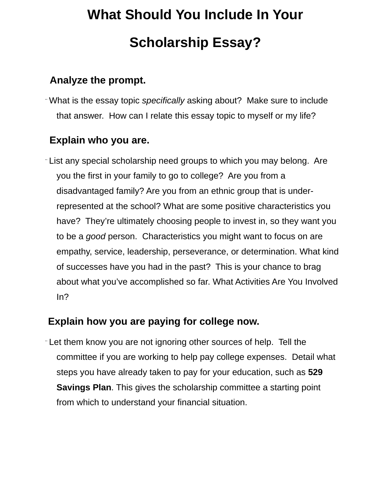# **What Should You Include In Your Scholarship Essay?**

#### **Analyze the prompt.**

¨ What is the essay topic *specifically* asking about? Make sure to include that answer. How can I relate this essay topic to myself or my life?

### **Explain who you are.**

¨ List any special scholarship need groups to which you may belong. Are you the first in your family to go to college? Are you from a disadvantaged family? Are you from an ethnic group that is underrepresented at the school? What are some positive characteristics you have? They're ultimately choosing people to invest in, so they want you to be a *good* person. Characteristics you might want to focus on are empathy, service, leadership, perseverance, or determination. What kind of successes have you had in the past? This is your chance to brag about what you've accomplished so far. What Activities Are You Involved In?

# **Explain how you are paying for college now.**

¨ Let them know you are not ignoring other sources of help. Tell the committee if you are working to help pay college expenses. Detail what steps you have already taken to pay for your education, such as **[529](https://www.bestvalueschools.com/faq/what-is-a-529-college-savings-plan/)  [Savings Plan](https://www.bestvalueschools.com/faq/what-is-a-529-college-savings-plan/)**. This gives the scholarship committee a starting point from which to understand your financial situation.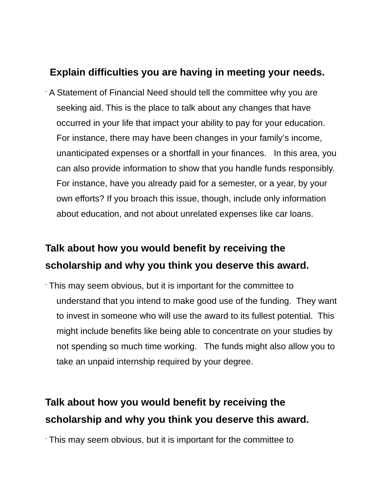#### **Explain difficulties you are having in meeting your needs.**

¨ A Statement of Financial Need should tell the committee why you are seeking aid. This is the place to talk about any changes that have occurred in your life that impact your ability to pay for your education. For instance, there may have been changes in your family's income, unanticipated expenses or a shortfall in your finances. In this area, you can also provide information to show that you handle funds responsibly. For instance, have you already paid for a semester, or a year, by your own efforts? If you broach this issue, though, include only information about education, and not about unrelated expenses like car loans.

# **Talk about how you would benefit by receiving the scholarship and why you think you deserve this award.**

¨ This may seem obvious, but it is important for the committee to understand that you intend to make good use of the funding. They want to invest in someone who will use the award to its fullest potential. This might include benefits like being able to concentrate on your studies by not spending so much time working. The funds might also allow you to take an unpaid internship required by your degree.

# **Talk about how you would benefit by receiving the scholarship and why you think you deserve this award.**

¨ This may seem obvious, but it is important for the committee to